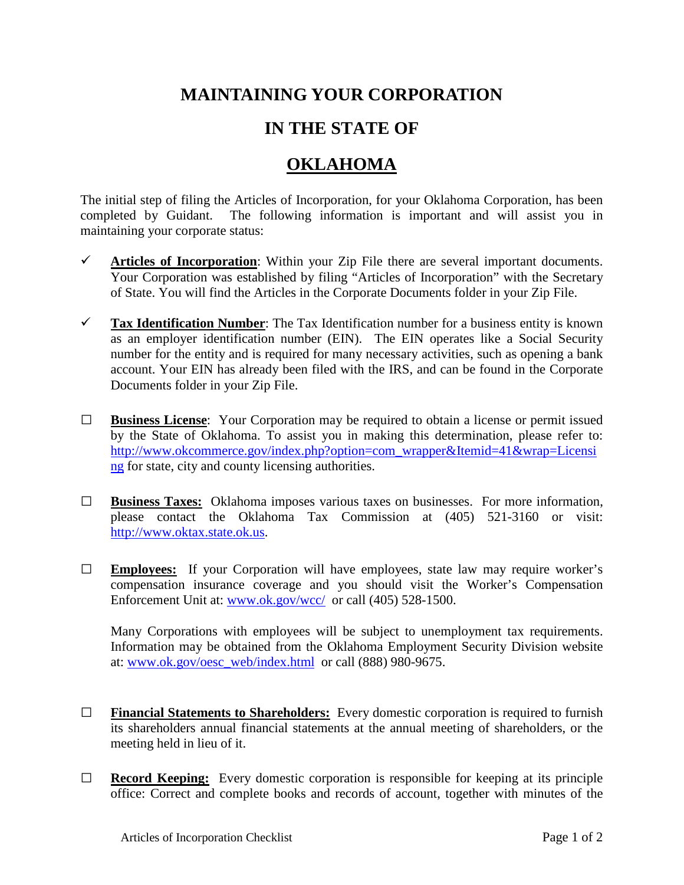## **MAINTAINING YOUR CORPORATION**

## **IN THE STATE OF**

## **OKLAHOMA**

The initial step of filing the Articles of Incorporation, for your Oklahoma Corporation, has been completed by Guidant. The following information is important and will assist you in maintaining your corporate status:

- $\checkmark$  Articles of Incorporation: Within your Zip File there are several important documents. Your Corporation was established by filing "Articles of Incorporation" with the Secretary of State. You will find the Articles in the Corporate Documents folder in your Zip File.
- **Tax Identification Number**: The Tax Identification number for a business entity is known as an employer identification number (EIN). The EIN operates like a Social Security number for the entity and is required for many necessary activities, such as opening a bank account. Your EIN has already been filed with the IRS, and can be found in the Corporate Documents folder in your Zip File.
- **□ Business License**: Your Corporation may be required to obtain a license or permit issued by the State of Oklahoma. To assist you in making this determination, please refer to: [http://www.okcommerce.gov/index.php?option=com\\_wrapper&Itemid=41&wrap=Licensi](http://www.okcommerce.gov/index.php?option=com_wrapper&Itemid=41&wrap=Licensing) [ng](http://www.okcommerce.gov/index.php?option=com_wrapper&Itemid=41&wrap=Licensing) for state, city and county licensing authorities.
- **□ Business Taxes:** Oklahoma imposes various taxes on businesses. For more information, please contact the Oklahoma Tax Commission at (405) 521-3160 or visit: [http://www.oktax.state.ok.us.](http://www.oktax.state.ok.us/)
- **□ Employees:** If your Corporation will have employees, state law may require worker's compensation insurance coverage and you should visit the Worker's Compensation Enforcement Unit at: [www.ok.gov/wcc/](http://www.ok.gov/wcc/) or call (405) 528-1500.

Many Corporations with employees will be subject to unemployment tax requirements. Information may be obtained from the Oklahoma Employment Security Division website at: [www.ok.gov/oesc\\_web/index.html](http://www.ok.gov/oesc_web/index.html) or call (888) 980-9675.

- **□ Financial Statements to Shareholders:** Every domestic corporation is required to furnish its shareholders annual financial statements at the annual meeting of shareholders, or the meeting held in lieu of it.
- **□ Record Keeping:** Every domestic corporation is responsible for keeping at its principle office: Correct and complete books and records of account, together with minutes of the